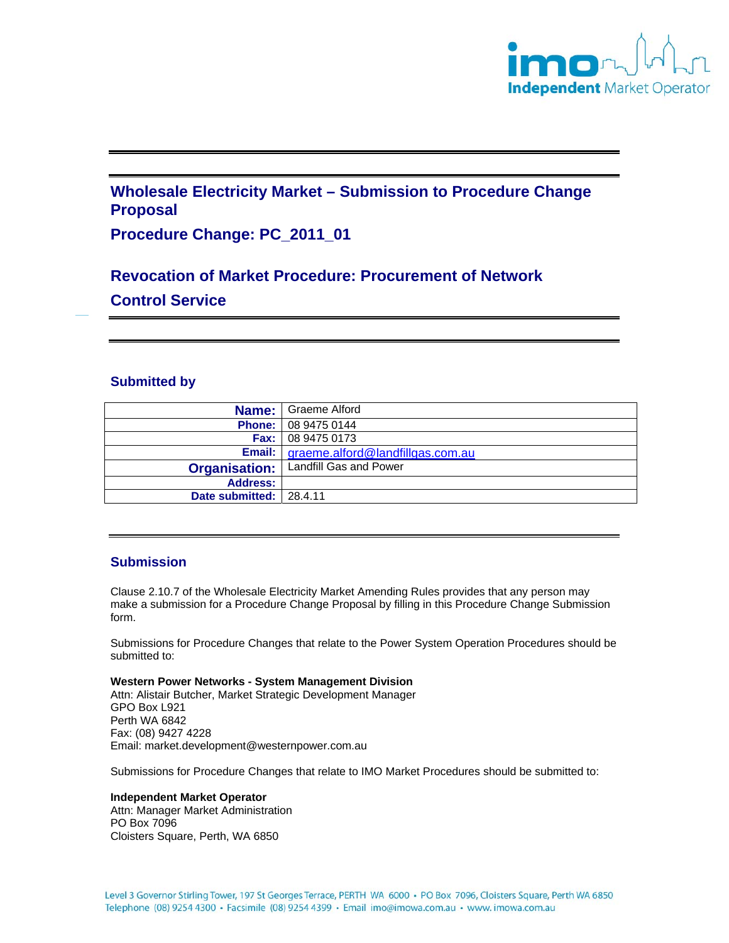

## **Wholesale Electricity Market – Submission to Procedure Change Proposal**

## **Procedure Change: PC\_2011\_01**

# **Revocation of Market Procedure: Procurement of Network Control Service**

#### **Submitted by**

| Name:                   | Graeme Alford                             |
|-------------------------|-------------------------------------------|
|                         | <b>Phone:</b> 08 9475 0144                |
|                         | <b>Fax:</b> $\vert$ 08 9475 0173          |
|                         | Email:   graeme.alford@landfillgas.com.au |
| <b>Organisation:</b>    | Landfill Gas and Power                    |
| <b>Address:</b>         |                                           |
| Date submitted: 28.4.11 |                                           |

#### **Submission**

Clause 2.10.7 of the Wholesale Electricity Market Amending Rules provides that any person may make a submission for a Procedure Change Proposal by filling in this Procedure Change Submission form.

Submissions for Procedure Changes that relate to the Power System Operation Procedures should be submitted to:

**Western Power Networks - System Management Division** Attn: Alistair Butcher, Market Strategic Development Manager GPO Box L921 Perth WA 6842 Fax: (08) 9427 4228 Email: market.development@westernpower.com.au

Submissions for Procedure Changes that relate to IMO Market Procedures should be submitted to:

#### **Independent Market Operator**

Attn: Manager Market Administration PO Box 7096 Cloisters Square, Perth, WA 6850